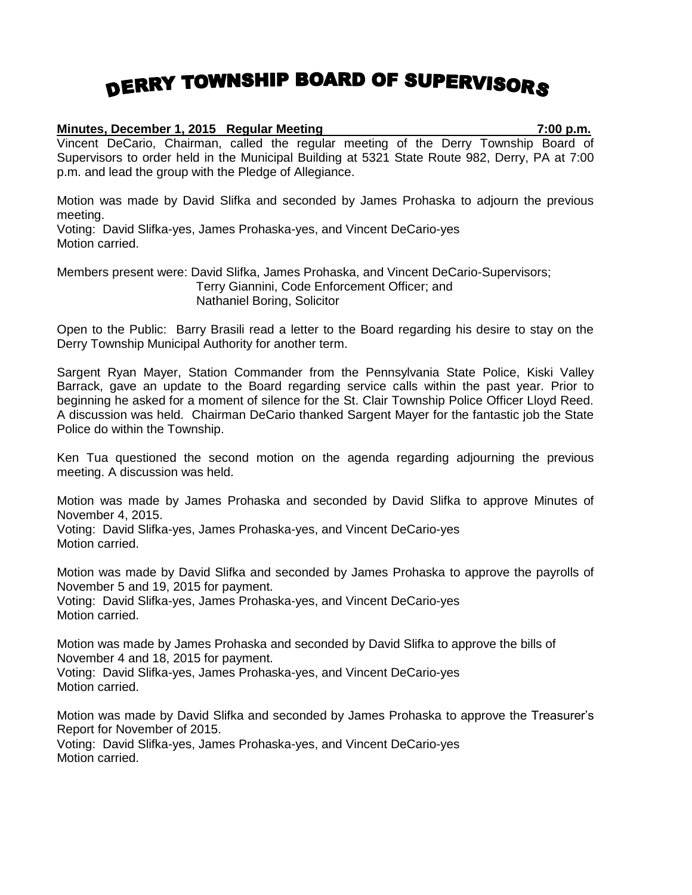## DERRY TOWNSHIP BOARD OF SUPERVISORS

## **Minutes, December 1, 2015 Regular Meeting 7:00 p.m.**

Vincent DeCario, Chairman, called the regular meeting of the Derry Township Board of Supervisors to order held in the Municipal Building at 5321 State Route 982, Derry, PA at 7:00 p.m. and lead the group with the Pledge of Allegiance.

Motion was made by David Slifka and seconded by James Prohaska to adjourn the previous meeting.

Voting: David Slifka-yes, James Prohaska-yes, and Vincent DeCario-yes Motion carried.

Members present were: David Slifka, James Prohaska, and Vincent DeCario-Supervisors; Terry Giannini, Code Enforcement Officer; and Nathaniel Boring, Solicitor

Open to the Public: Barry Brasili read a letter to the Board regarding his desire to stay on the Derry Township Municipal Authority for another term.

Sargent Ryan Mayer, Station Commander from the Pennsylvania State Police, Kiski Valley Barrack, gave an update to the Board regarding service calls within the past year. Prior to beginning he asked for a moment of silence for the St. Clair Township Police Officer Lloyd Reed. A discussion was held. Chairman DeCario thanked Sargent Mayer for the fantastic job the State Police do within the Township.

Ken Tua questioned the second motion on the agenda regarding adjourning the previous meeting. A discussion was held.

Motion was made by James Prohaska and seconded by David Slifka to approve Minutes of November 4, 2015.

Voting: David Slifka-yes, James Prohaska-yes, and Vincent DeCario-yes Motion carried.

Motion was made by David Slifka and seconded by James Prohaska to approve the payrolls of November 5 and 19, 2015 for payment.

Voting: David Slifka-yes, James Prohaska-yes, and Vincent DeCario-yes Motion carried.

Motion was made by James Prohaska and seconded by David Slifka to approve the bills of November 4 and 18, 2015 for payment.

Voting: David Slifka-yes, James Prohaska-yes, and Vincent DeCario-yes Motion carried.

Motion was made by David Slifka and seconded by James Prohaska to approve the Treasurer's Report for November of 2015.

Voting: David Slifka-yes, James Prohaska-yes, and Vincent DeCario-yes Motion carried.